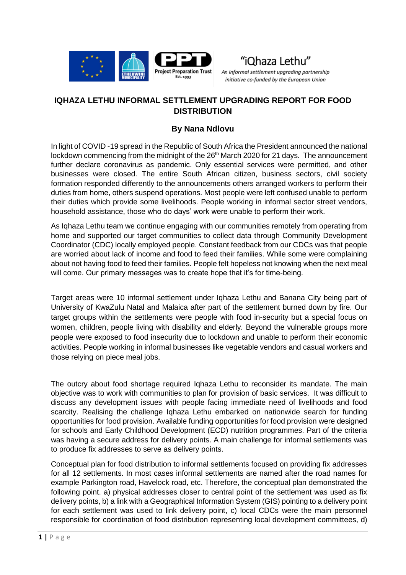



An informal settlement upgrading partnership initiative co-funded by the European Union

## **IQHAZA LETHU INFORMAL SETTLEMENT UPGRADING REPORT FOR FOOD DISTRIBUTION**

## **By Nana Ndlovu**

In light of COVID -19 spread in the Republic of South Africa the President announced the national lockdown commencing from the midnight of the 26<sup>th</sup> March 2020 for 21 days. The announcement further declare coronavirus as pandemic. Only essential services were permitted, and other businesses were closed. The entire South African citizen, business sectors, civil society formation responded differently to the announcements others arranged workers to perform their duties from home, others suspend operations. Most people were left confused unable to perform their duties which provide some livelihoods. People working in informal sector street vendors, household assistance, those who do days' work were unable to perform their work.

As Iqhaza Lethu team we continue engaging with our communities remotely from operating from home and supported our target communities to collect data through Community Development Coordinator (CDC) locally employed people. Constant feedback from our CDCs was that people are worried about lack of income and food to feed their families. While some were complaining about not having food to feed their families. People felt hopeless not knowing when the next meal will come. Our primary messages was to create hope that it's for time-being.

Target areas were 10 informal settlement under Iqhaza Lethu and Banana City being part of University of KwaZulu Natal and Malaica after part of the settlement burned down by fire. Our target groups within the settlements were people with food in-security but a special focus on women, children, people living with disability and elderly. Beyond the vulnerable groups more people were exposed to food insecurity due to lockdown and unable to perform their economic activities. People working in informal businesses like vegetable vendors and casual workers and those relying on piece meal jobs.

The outcry about food shortage required Iqhaza Lethu to reconsider its mandate. The main objective was to work with communities to plan for provision of basic services. It was difficult to discuss any development issues with people facing immediate need of livelihoods and food scarcity. Realising the challenge Iqhaza Lethu embarked on nationwide search for funding opportunities for food provision. Available funding opportunities for food provision were designed for schools and Early Childhood Development (ECD) nutrition programmes. Part of the criteria was having a secure address for delivery points. A main challenge for informal settlements was to produce fix addresses to serve as delivery points.

Conceptual plan for food distribution to informal settlements focused on providing fix addresses for all 12 settlements. In most cases informal settlements are named after the road names for example Parkington road, Havelock road, etc. Therefore, the conceptual plan demonstrated the following point. a) physical addresses closer to central point of the settlement was used as fix delivery points, b) a link with a Geographical Information System (GIS) pointing to a delivery point for each settlement was used to link delivery point, c) local CDCs were the main personnel responsible for coordination of food distribution representing local development committees, d)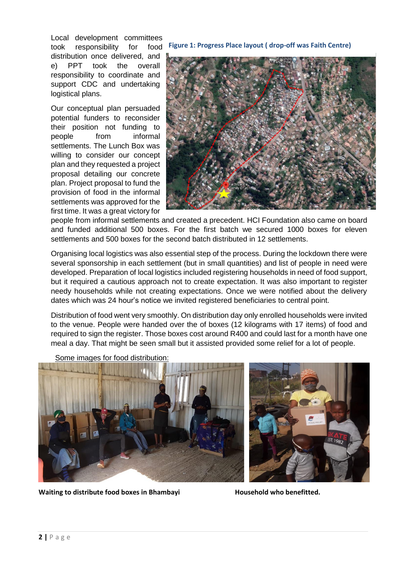Local development committees took responsibility for food distribution once delivered, and e) PPT took the overall responsibility to coordinate and support CDC and undertaking logistical plans.

Our conceptual plan persuaded potential funders to reconsider their position not funding to people from informal settlements. The Lunch Box was willing to consider our concept plan and they requested a project proposal detailing our concrete plan. Project proposal to fund the provision of food in the informal settlements was approved for the first time. It was a great victory for

**Figure 1: Progress Place layout ( drop-off was Faith Centre)**



people from informal settlements and created a precedent. HCI Foundation also came on board and funded additional 500 boxes. For the first batch we secured 1000 boxes for eleven settlements and 500 boxes for the second batch distributed in 12 settlements.

Organising local logistics was also essential step of the process. During the lockdown there were several sponsorship in each settlement (but in small quantities) and list of people in need were developed. Preparation of local logistics included registering households in need of food support, but it required a cautious approach not to create expectation. It was also important to register needy households while not creating expectations. Once we were notified about the delivery dates which was 24 hour's notice we invited registered beneficiaries to central point.

Distribution of food went very smoothly. On distribution day only enrolled households were invited to the venue. People were handed over the of boxes (12 kilograms with 17 items) of food and required to sign the register. Those boxes cost around R400 and could last for a month have one meal a day. That might be seen small but it assisted provided some relief for a lot of people.

Some images for food distribution:



Waiting to distribute food boxes in Bhambayi **Household who benefitted**.

**EST. 198-**